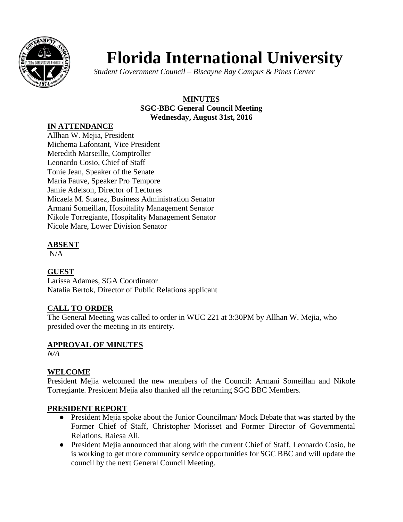

# **Florida International University**

*Student Government Council – Biscayne Bay Campus & Pines Center* 

#### **MINUTES SGC-BBC General Council Meeting Wednesday, August 31st, 2016**

#### **IN ATTENDANCE**

Allhan W. Mejia, President Michema Lafontant, Vice President Meredith Marseille, Comptroller Leonardo Cosio, Chief of Staff Tonie Jean, Speaker of the Senate Maria Fauve, Speaker Pro Tempore Jamie Adelson, Director of Lectures Micaela M. Suarez, Business Administration Senator Armani Someillan, Hospitality Management Senator Nikole Torregiante, Hospitality Management Senator Nicole Mare, Lower Division Senator

#### **ABSENT**

 $N/A$ 

# **GUEST**

Larissa Adames, SGA Coordinator Natalia Bertok, Director of Public Relations applicant

# **CALL TO ORDER**

The General Meeting was called to order in WUC 221 at 3:30PM by Allhan W. Mejia, who presided over the meeting in its entirety.

# **APPROVAL OF MINUTES**

*N/A*

# **WELCOME**

President Mejia welcomed the new members of the Council: Armani Someillan and Nikole Torregiante. President Mejia also thanked all the returning SGC BBC Members.

# **PRESIDENT REPORT**

- President Mejia spoke about the Junior Councilman/ Mock Debate that was started by the Former Chief of Staff, Christopher Morisset and Former Director of Governmental Relations, Raiesa Ali.
- President Mejia announced that along with the current Chief of Staff, Leonardo Cosio, he is working to get more community service opportunities for SGC BBC and will update the council by the next General Council Meeting.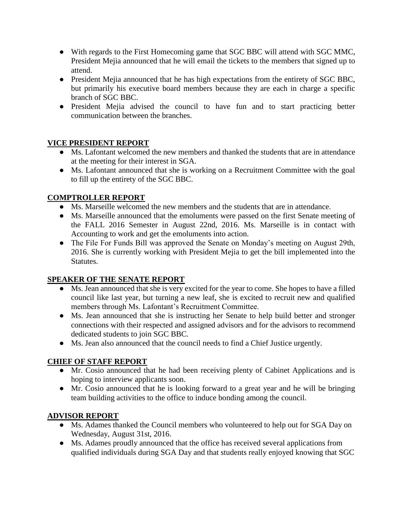- With regards to the First Homecoming game that SGC BBC will attend with SGC MMC, President Mejia announced that he will email the tickets to the members that signed up to attend.
- President Mejia announced that he has high expectations from the entirety of SGC BBC, but primarily his executive board members because they are each in charge a specific branch of SGC BBC.
- President Mejia advised the council to have fun and to start practicing better communication between the branches.

#### **VICE PRESIDENT REPORT**

- Ms. Lafontant welcomed the new members and thanked the students that are in attendance at the meeting for their interest in SGA.
- Ms. Lafontant announced that she is working on a Recruitment Committee with the goal to fill up the entirety of the SGC BBC.

# **COMPTROLLER REPORT**

- Ms. Marseille welcomed the new members and the students that are in attendance.
- Ms. Marseille announced that the emoluments were passed on the first Senate meeting of the FALL 2016 Semester in August 22nd, 2016. Ms. Marseille is in contact with Accounting to work and get the emoluments into action.
- The File For Funds Bill was approved the Senate on Monday's meeting on August 29th, 2016. She is currently working with President Mejia to get the bill implemented into the Statutes.

#### **SPEAKER OF THE SENATE REPORT**

- Ms. Jean announced that she is very excited for the year to come. She hopes to have a filled council like last year, but turning a new leaf, she is excited to recruit new and qualified members through Ms. Lafontant's Recruitment Committee.
- Ms. Jean announced that she is instructing her Senate to help build better and stronger connections with their respected and assigned advisors and for the advisors to recommend dedicated students to join SGC BBC.
- Ms. Jean also announced that the council needs to find a Chief Justice urgently.

# **CHIEF OF STAFF REPORT**

- Mr. Cosio announced that he had been receiving plenty of Cabinet Applications and is hoping to interview applicants soon.
- Mr. Cosio announced that he is looking forward to a great year and he will be bringing team building activities to the office to induce bonding among the council.

# **ADVISOR REPORT**

- Ms. Adames thanked the Council members who volunteered to help out for SGA Day on Wednesday, August 31st, 2016.
- Ms. Adames proudly announced that the office has received several applications from qualified individuals during SGA Day and that students really enjoyed knowing that SGC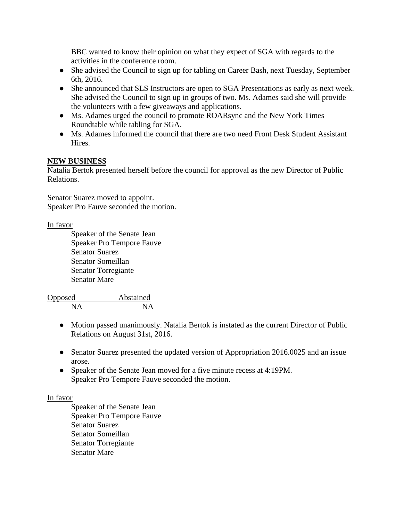BBC wanted to know their opinion on what they expect of SGA with regards to the activities in the conference room.

- She advised the Council to sign up for tabling on Career Bash, next Tuesday, September 6th, 2016.
- She announced that SLS Instructors are open to SGA Presentations as early as next week. She advised the Council to sign up in groups of two. Ms. Adames said she will provide the volunteers with a few giveaways and applications.
- Ms. Adames urged the council to promote ROARsync and the New York Times Roundtable while tabling for SGA.
- Ms. Adames informed the council that there are two need Front Desk Student Assistant Hires.

#### **NEW BUSINESS**

Natalia Bertok presented herself before the council for approval as the new Director of Public Relations.

Senator Suarez moved to appoint. Speaker Pro Fauve seconded the motion.

#### In favor

Speaker of the Senate Jean Speaker Pro Tempore Fauve Senator Suarez Senator Someillan Senator Torregiante Senator Mare

Opposed Abstained NA NA

- Motion passed unanimously. Natalia Bertok is instated as the current Director of Public Relations on August 31st, 2016.
- Senator Suarez presented the updated version of Appropriation 2016.0025 and an issue arose.
- Speaker of the Senate Jean moved for a five minute recess at 4:19PM. Speaker Pro Tempore Fauve seconded the motion.

#### In favor

Speaker of the Senate Jean Speaker Pro Tempore Fauve Senator Suarez Senator Someillan Senator Torregiante Senator Mare